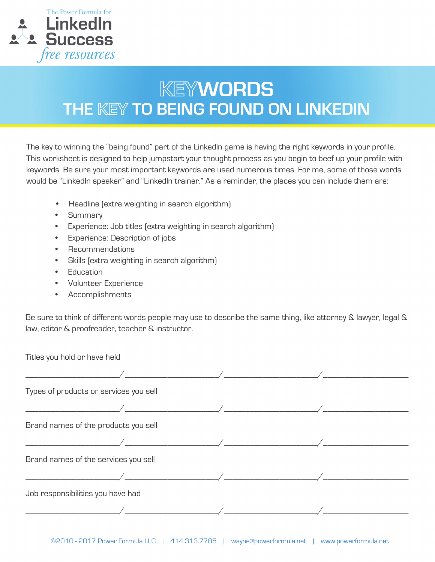

## KEYWORDS THE KEY TO BEING FOUND ON LINKEDIN

The key to winning the "being found" part of the LinkedIn game is having the right keywords in your profile. This worksheet is designed to help jumpstart your thought process as you begin to beef up your profile with keywords. Be sure your most important keywords are used numerous times. For me, some of those words would be "LinkedIn speaker" and "LinkedIn trainer." As a reminder, the places you can include them are:

- Headline (extra weighting in search algorithm)
- Summary
- Experience: Job titles (extra weighting in search algorithm)
- Experience: Description of jobs
- Recommendations
- Skills (extra weighting in search algorithm)
- Education
- Volunteer Experience
- Accomplishments

Be sure to think of different words people may use to describe the same thing, like attorney & lawyer, legal & law, editor & proofreader, teacher & instructor.

Titles you hold or have held \_\_\_\_\_\_\_\_\_\_\_\_\_\_\_\_\_\_\_\_\_\_/\_\_\_\_\_\_\_\_\_\_\_\_\_\_\_\_\_\_\_\_\_\_/\_\_\_\_\_\_\_\_\_\_\_\_\_\_\_\_\_\_\_\_\_\_/\_\_\_\_\_\_\_\_\_\_\_\_\_\_\_\_\_\_\_\_ Types of products or services you sell \_\_\_\_\_\_\_\_\_\_\_\_\_\_\_\_\_\_\_\_\_\_/\_\_\_\_\_\_\_\_\_\_\_\_\_\_\_\_\_\_\_\_\_\_/\_\_\_\_\_\_\_\_\_\_\_\_\_\_\_\_\_\_\_\_\_\_/\_\_\_\_\_\_\_\_\_\_\_\_\_\_\_\_\_\_\_\_ Brand names of the products you sell \_\_\_\_\_\_\_\_\_\_\_\_\_\_\_\_\_\_\_\_\_\_/\_\_\_\_\_\_\_\_\_\_\_\_\_\_\_\_\_\_\_\_\_\_/\_\_\_\_\_\_\_\_\_\_\_\_\_\_\_\_\_\_\_\_\_\_/\_\_\_\_\_\_\_\_\_\_\_\_\_\_\_\_\_\_\_\_ Brand names of the services you sell \_\_\_\_\_\_\_\_\_\_\_\_\_\_\_\_\_\_\_\_\_\_/\_\_\_\_\_\_\_\_\_\_\_\_\_\_\_\_\_\_\_\_\_\_/\_\_\_\_\_\_\_\_\_\_\_\_\_\_\_\_\_\_\_\_\_\_/\_\_\_\_\_\_\_\_\_\_\_\_\_\_\_\_\_\_\_\_ Job responsibilities you have had \_\_\_\_\_\_\_\_\_\_\_\_\_\_\_\_\_\_\_\_\_\_/\_\_\_\_\_\_\_\_\_\_\_\_\_\_\_\_\_\_\_\_\_\_/\_\_\_\_\_\_\_\_\_\_\_\_\_\_\_\_\_\_\_\_\_\_/\_\_\_\_\_\_\_\_\_\_\_\_\_\_\_\_\_\_\_\_